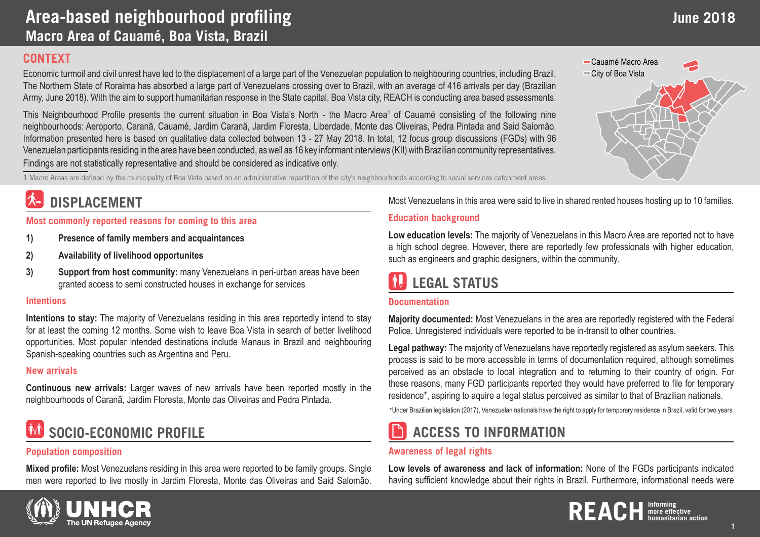### **CONTEXT**

Economic turmoil and civil unrest have led to the displacement of a large part of the Venezuelan population to neighbouring countries, including Brazil. The Northern State of Roraima has absorbed a large part of Venezuelans crossing over to Brazil, with an average of 416 arrivals per day (Brazilian Army, June 2018). With the aim to support humanitarian response in the State capital, Boa Vista city, REACH is conducting area based assessments.

This Neighbourhood Profile presents the current situation in Boa Vista's North - the Macro Area<sup>1</sup> of Cauamé consisting of the following nine neighbourhoods: Aeroporto, Caranã, Cauamé, Jardim Caranã, Jardim Floresta, Liberdade, Monte das Oliveiras, Pedra Pintada and Said Salomão. Information presented here is based on qualitative data collected between 13 - 27 May 2018. In total, 12 focus group discussions (FGDs) with 96 Venezuelan participants residing in the area have been conducted, as well as 16 key informant interviews (KII) with Brazilian community representatives. Findings are not statistically representative and should be considered as indicative only.

**1** Macro Areas are defined by the municipality of Boa Vista based on an administrative repartition of the city's neighbourhoods according to social services catchment areas.

### **DISPLACEMENT**

**Most commonly reported reasons for coming to this area**

- **1) Presence of family members and acquaintances**
- **2) Availability of livelihood opportunites**
- **3) Support from host community:** many Venezuelans in peri-urban areas have been granted access to semi constructed houses in exchange for services

#### **Intentions**

**Intentions to stay:** The majority of Venezuelans residing in this area reportedly intend to stay for at least the coming 12 months. Some wish to leave Boa Vista in search of better livelihood opportunities. Most popular intended destinations include Manaus in Brazil and neighbouring Spanish-speaking countries such as Argentina and Peru.

### **New arrivals**

**Continuous new arrivals:** Larger waves of new arrivals have been reported mostly in the neighbourhoods of Caranã, Jardim Floresta, Monte das Oliveiras and Pedra Pintada.

# **SOCIO-ECONOMIC PROFILE**

### **Population composition**

**Mixed profile:** Most Venezuelans residing in this area were reported to be family groups. Single men were reported to live mostly in Jardim Floresta, Monte das Oliveiras and Said Salomão.

Most Venezuelans in this area were said to live in shared rented houses hosting up to 10 families.

### **Education background**

**Low education levels:** The majority of Venezuelans in this Macro Area are reported not to have a high school degree. However, there are reportedly few professionals with higher education, such as engineers and graphic designers, within the community.

# **LEGAL STATUS**

#### **Documentation**

**Majority documented:** Most Venezuelans in the area are reportedly registered with the Federal Police. Unregistered individuals were reported to be in-transit to other countries.

**Legal pathway:** The majority of Venezuelans have reportedly registered as asylum seekers. This process is said to be more accessible in terms of documentation required, although sometimes perceived as an obstacle to local integration and to returning to their country of origin. For these reasons, many FGD participants reported they would have preferred to file for temporary residence\*, aspiring to aquire a legal status perceived as similar to that of Brazilian nationals.

\*Under Brazilian legislation (2017), Venezuelan nationals have the right to apply for temporary residence in Brazil, valid for two years.

## **ACCESS TO INFORMATION**

#### **Awareness of legal rights**

**Low levels of awareness and lack of information:** None of the FGDs participants indicated having sufficient knowledge about their rights in Brazil. Furthermore, informational needs were





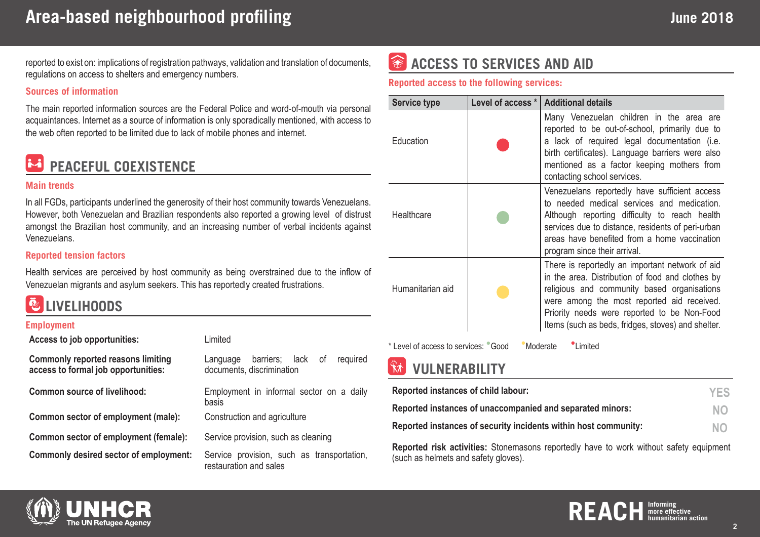reported to exist on: implications of registration pathways, validation and translation of documents, regulations on access to shelters and emergency numbers.

#### **Sources of information**

The main reported information sources are the Federal Police and word-of-mouth via personal acquaintances. Internet as a source of information is only sporadically mentioned, with access to the web often reported to be limited due to lack of mobile phones and internet.



#### **Main trends**

In all FGDs, participants underlined the generosity of their host community towards Venezuelans. However, both Venezuelan and Brazilian respondents also reported a growing level of distrust amongst the Brazilian host community, and an increasing number of verbal incidents against Venezuelans.

#### **Reported tension factors**

Health services are perceived by host community as being overstrained due to the inflow of Venezuelan migrants and asylum seekers. This has reportedly created frustrations.



#### **Employment**

| Limited                                                                |
|------------------------------------------------------------------------|
| barriers; lack of<br>required<br>Language<br>documents, discrimination |
| Employment in informal sector on a daily<br>basis                      |
| Construction and agriculture                                           |
| Service provision, such as cleaning                                    |
| Service provision, such as transportation,<br>restauration and sales   |
|                                                                        |

#### 金 **ACCESS TO SERVICES AND AID**

**Reported access to the following services:** 

| Service type     | Level of access * | <b>Additional details</b>                                                                                                                                                                                                                                                                             |
|------------------|-------------------|-------------------------------------------------------------------------------------------------------------------------------------------------------------------------------------------------------------------------------------------------------------------------------------------------------|
| Education        |                   | Many Venezuelan children in the area are<br>reported to be out-of-school, primarily due to<br>a lack of required legal documentation (i.e.<br>birth certificates). Language barriers were also<br>mentioned as a factor keeping mothers from<br>contacting school services.                           |
| Healthcare       |                   | Venezuelans reportedly have sufficient access<br>to needed medical services and medication.<br>Although reporting difficulty to reach health<br>services due to distance, residents of peri-urban<br>areas have benefited from a home vaccination<br>program since their arrival.                     |
| Humanitarian aid |                   | There is reportedly an important network of aid<br>in the area. Distribution of food and clothes by<br>religious and community based organisations<br>were among the most reported aid received.<br>Priority needs were reported to be Non-Food<br>Items (such as beds, fridges, stoves) and shelter. |

\* Level of access to services: Good Moderate Limited

## **VULNERABILITY**

| Reported instances of child labour:                             | <b>YES</b> |
|-----------------------------------------------------------------|------------|
| Reported instances of unaccompanied and separated minors:       | <b>NO</b>  |
| Reported instances of security incidents within host community: | NO.        |

**Reported risk activities:** Stonemasons reportedly have to work without safety equipment (such as helmets and safety gloves).